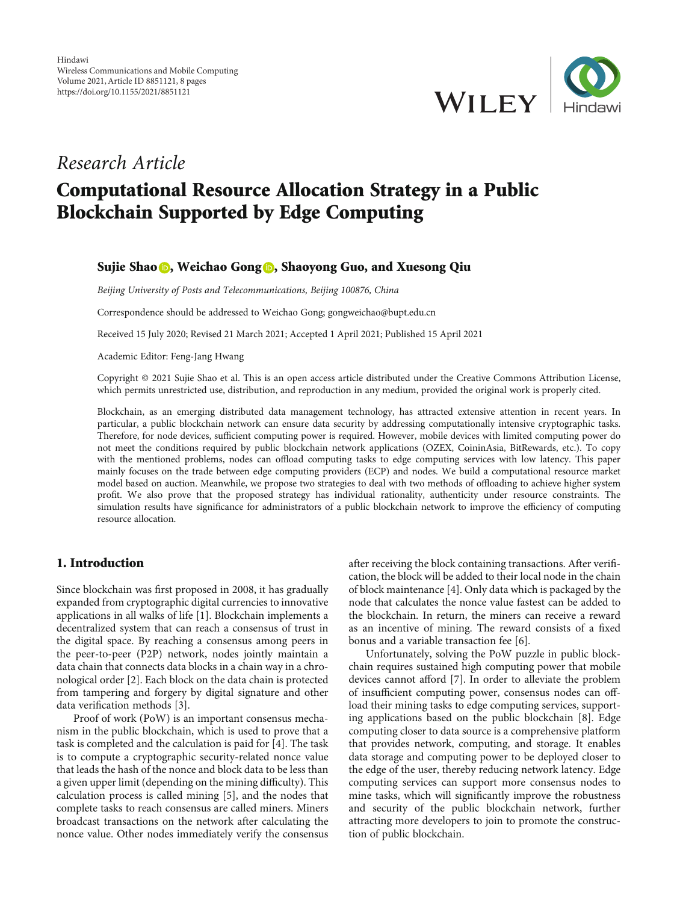

# Research Article

# Computational Resource Allocation Strategy in a Public Blockchain Supported by Edge Computing

## Sujie Shao **D**[,](https://orcid.org/0000-0003-3945-0706) Weichao Gong **D**, Shaoyong Guo, and Xuesong Qiu

Beijing University of Posts and Telecommunications, Beijing 100876, China

Correspondence should be addressed to Weichao Gong; gongweichao@bupt.edu.cn

Received 15 July 2020; Revised 21 March 2021; Accepted 1 April 2021; Published 15 April 2021

Academic Editor: Feng-Jang Hwang

Copyright © 2021 Sujie Shao et al. This is an open access article distributed under the [Creative Commons Attribution License](https://creativecommons.org/licenses/by/4.0/), which permits unrestricted use, distribution, and reproduction in any medium, provided the original work is properly cited.

Blockchain, as an emerging distributed data management technology, has attracted extensive attention in recent years. In particular, a public blockchain network can ensure data security by addressing computationally intensive cryptographic tasks. Therefore, for node devices, sufficient computing power is required. However, mobile devices with limited computing power do not meet the conditions required by public blockchain network applications (OZEX, CoininAsia, BitRewards, etc.). To copy with the mentioned problems, nodes can offload computing tasks to edge computing services with low latency. This paper mainly focuses on the trade between edge computing providers (ECP) and nodes. We build a computational resource market model based on auction. Meanwhile, we propose two strategies to deal with two methods of offloading to achieve higher system profit. We also prove that the proposed strategy has individual rationality, authenticity under resource constraints. The simulation results have significance for administrators of a public blockchain network to improve the efficiency of computing resource allocation.

# 1. Introduction

Since blockchain was first proposed in 2008, it has gradually expanded from cryptographic digital currencies to innovative applications in all walks of life [\[1\]](#page-6-0). Blockchain implements a decentralized system that can reach a consensus of trust in the digital space. By reaching a consensus among peers in the peer-to-peer (P2P) network, nodes jointly maintain a data chain that connects data blocks in a chain way in a chronological order [[2\]](#page-6-0). Each block on the data chain is protected from tampering and forgery by digital signature and other data verification methods [\[3\]](#page-6-0).

Proof of work (PoW) is an important consensus mechanism in the public blockchain, which is used to prove that a task is completed and the calculation is paid for [\[4](#page-6-0)]. The task is to compute a cryptographic security-related nonce value that leads the hash of the nonce and block data to be less than a given upper limit (depending on the mining difficulty). This calculation process is called mining [[5\]](#page-6-0), and the nodes that complete tasks to reach consensus are called miners. Miners broadcast transactions on the network after calculating the nonce value. Other nodes immediately verify the consensus after receiving the block containing transactions. After verification, the block will be added to their local node in the chain of block maintenance [\[4](#page-6-0)]. Only data which is packaged by the node that calculates the nonce value fastest can be added to the blockchain. In return, the miners can receive a reward as an incentive of mining. The reward consists of a fixed bonus and a variable transaction fee [[6](#page-6-0)].

Unfortunately, solving the PoW puzzle in public blockchain requires sustained high computing power that mobile devices cannot afford [\[7](#page-6-0)]. In order to alleviate the problem of insufficient computing power, consensus nodes can offload their mining tasks to edge computing services, supporting applications based on the public blockchain [[8\]](#page-6-0). Edge computing closer to data source is a comprehensive platform that provides network, computing, and storage. It enables data storage and computing power to be deployed closer to the edge of the user, thereby reducing network latency. Edge computing services can support more consensus nodes to mine tasks, which will significantly improve the robustness and security of the public blockchain network, further attracting more developers to join to promote the construction of public blockchain.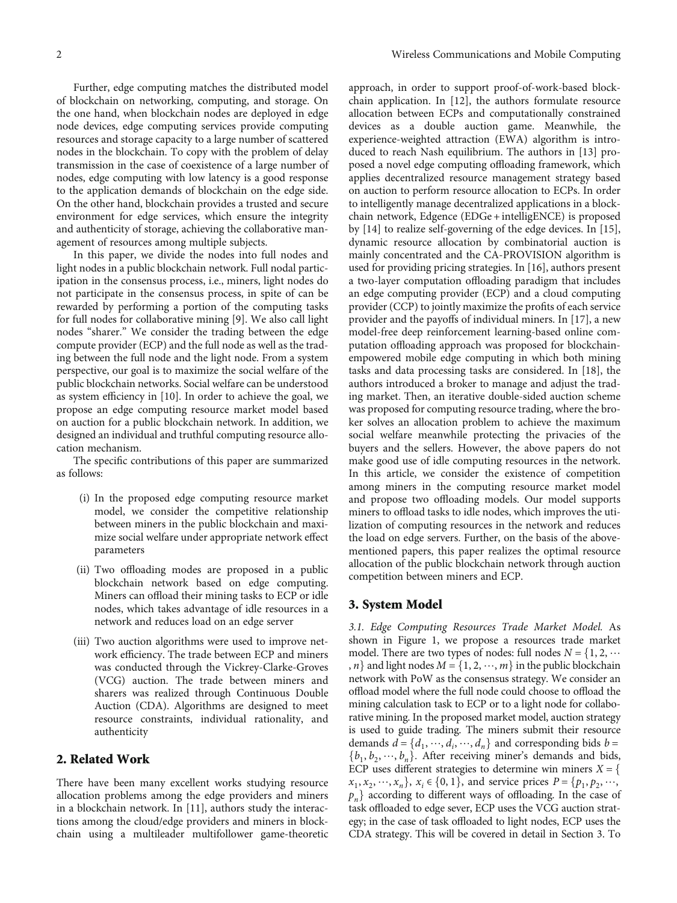Further, edge computing matches the distributed model of blockchain on networking, computing, and storage. On the one hand, when blockchain nodes are deployed in edge node devices, edge computing services provide computing resources and storage capacity to a large number of scattered nodes in the blockchain. To copy with the problem of delay transmission in the case of coexistence of a large number of nodes, edge computing with low latency is a good response to the application demands of blockchain on the edge side. On the other hand, blockchain provides a trusted and secure environment for edge services, which ensure the integrity and authenticity of storage, achieving the collaborative management of resources among multiple subjects.

In this paper, we divide the nodes into full nodes and light nodes in a public blockchain network. Full nodal participation in the consensus process, i.e., miners, light nodes do not participate in the consensus process, in spite of can be rewarded by performing a portion of the computing tasks for full nodes for collaborative mining [[9\]](#page-6-0). We also call light nodes "sharer." We consider the trading between the edge compute provider (ECP) and the full node as well as the trading between the full node and the light node. From a system perspective, our goal is to maximize the social welfare of the public blockchain networks. Social welfare can be understood as system efficiency in [[10](#page-6-0)]. In order to achieve the goal, we propose an edge computing resource market model based on auction for a public blockchain network. In addition, we designed an individual and truthful computing resource allocation mechanism.

The specific contributions of this paper are summarized as follows:

- (i) In the proposed edge computing resource market model, we consider the competitive relationship between miners in the public blockchain and maximize social welfare under appropriate network effect parameters
- (ii) Two offloading modes are proposed in a public blockchain network based on edge computing. Miners can offload their mining tasks to ECP or idle nodes, which takes advantage of idle resources in a network and reduces load on an edge server
- (iii) Two auction algorithms were used to improve network efficiency. The trade between ECP and miners was conducted through the Vickrey-Clarke-Groves (VCG) auction. The trade between miners and sharers was realized through Continuous Double Auction (CDA). Algorithms are designed to meet resource constraints, individual rationality, and authenticity

# 2. Related Work

There have been many excellent works studying resource allocation problems among the edge providers and miners in a blockchain network. In [\[11\]](#page-6-0), authors study the interactions among the cloud/edge providers and miners in blockchain using a multileader multifollower game-theoretic

approach, in order to support proof-of-work-based blockchain application. In [\[12](#page-6-0)], the authors formulate resource allocation between ECPs and computationally constrained devices as a double auction game. Meanwhile, the experience-weighted attraction (EWA) algorithm is introduced to reach Nash equilibrium. The authors in [\[13\]](#page-6-0) proposed a novel edge computing offloading framework, which applies decentralized resource management strategy based on auction to perform resource allocation to ECPs. In order to intelligently manage decentralized applications in a blockchain network, Edgence (EDGe + intelligENCE) is proposed by [[14](#page-6-0)] to realize self-governing of the edge devices. In [[15](#page-6-0)], dynamic resource allocation by combinatorial auction is mainly concentrated and the CA-PROVISION algorithm is used for providing pricing strategies. In [[16](#page-6-0)], authors present a two-layer computation offloading paradigm that includes an edge computing provider (ECP) and a cloud computing provider (CCP) to jointly maximize the profits of each service provider and the payoffs of individual miners. In [\[17\]](#page-6-0), a new model-free deep reinforcement learning-based online computation offloading approach was proposed for blockchainempowered mobile edge computing in which both mining tasks and data processing tasks are considered. In [[18](#page-6-0)], the authors introduced a broker to manage and adjust the trading market. Then, an iterative double-sided auction scheme was proposed for computing resource trading, where the broker solves an allocation problem to achieve the maximum social welfare meanwhile protecting the privacies of the buyers and the sellers. However, the above papers do not make good use of idle computing resources in the network. In this article, we consider the existence of competition among miners in the computing resource market model and propose two offloading models. Our model supports miners to offload tasks to idle nodes, which improves the utilization of computing resources in the network and reduces the load on edge servers. Further, on the basis of the abovementioned papers, this paper realizes the optimal resource allocation of the public blockchain network through auction competition between miners and ECP.

#### 3. System Model

3.1. Edge Computing Resources Trade Market Model. As shown in Figure [1](#page-2-0), we propose a resources trade market model. There are two types of nodes: full nodes  $N = \{1, 2, \cdots\}$ , *n*} and light nodes  $M = \{1, 2, \dots, m\}$  in the public blockchain network with PoW as the consensus strategy. We consider an offload model where the full node could choose to offload the mining calculation task to ECP or to a light node for collaborative mining. In the proposed market model, auction strategy is used to guide trading. The miners submit their resource demands  $d = \{d_1, \dots, d_i, \dots, d_n\}$  and corresponding bids  $b = \{h, h, \dots, h\}$ . After receiving miner's demands and bids  ${b_1, b_2, \dots, b_n}$ . After receiving miner's demands and bids, ECP uses different strategies to determine win miners  $X = \{$  $x_1, x_2, \dots, x_n$ ,  $x_i \in \{0, 1\}$ , and service prices  $P = \{p_1, p_2, \dots, p_n\}$  $p_n$  according to different ways of offloading. In the case of task offloaded to edge sever, ECP uses the VCG auction strategy; in the case of task offloaded to light nodes, ECP uses the CDA strategy. This will be covered in detail in Section 3. To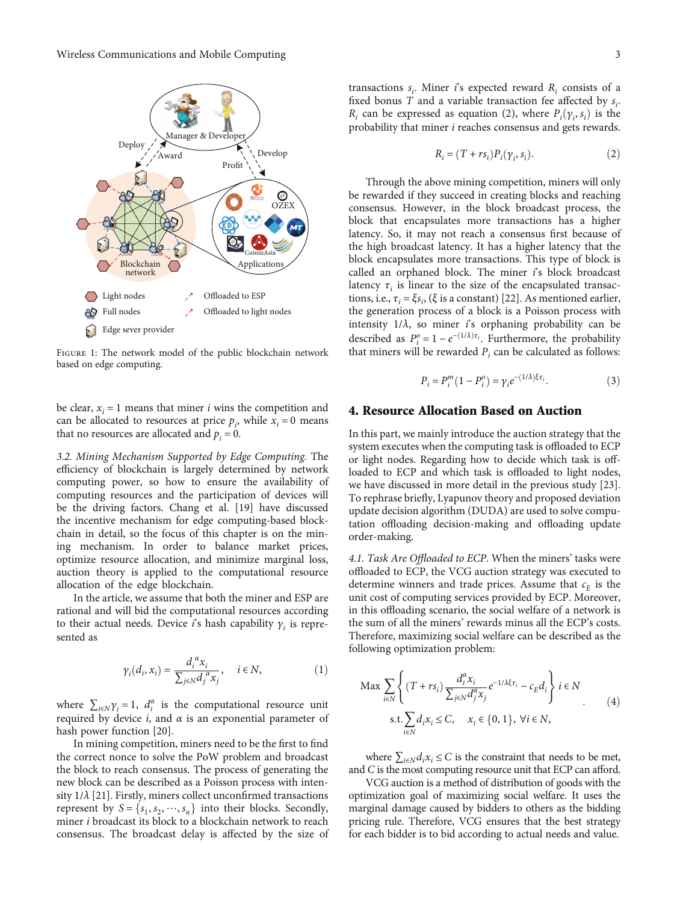<span id="page-2-0"></span>

Figure 1: The network model of the public blockchain network based on edge computing.

be clear,  $x_i = 1$  means that miner *i* wins the competition and can be allocated to resources at price  $p_i$ , while  $x_i = 0$  means that no resources are allocated and  $p_i = 0$ .

3.2. Mining Mechanism Supported by Edge Computing. The efficiency of blockchain is largely determined by network computing power, so how to ensure the availability of computing resources and the participation of devices will be the driving factors. Chang et al. [[19](#page-6-0)] have discussed the incentive mechanism for edge computing-based blockchain in detail, so the focus of this chapter is on the mining mechanism. In order to balance market prices, optimize resource allocation, and minimize marginal loss, auction theory is applied to the computational resource allocation of the edge blockchain.

In the article, we assume that both the miner and ESP are rational and will bid the computational resources according to their actual needs. Device *i*'s hash capability  $\gamma_i$  is represented as

$$
\gamma_i(d_i, x_i) = \frac{d_i^{\alpha} x_i}{\sum_{j \in \mathbb{N}} d_j^{\alpha} x_j}, \quad i \in \mathbb{N},
$$
\n(1)

where  $\sum_{i \in N} \gamma_i = 1$ ,  $d_i^{\alpha}$  is the computational resource unit required by device *, and*  $α$  *is an exponential parameter of* hash power function [[20](#page-6-0)].

In mining competition, miners need to be the first to find the correct nonce to solve the PoW problem and broadcast the block to reach consensus. The process of generating the new block can be described as a Poisson process with intensity 1/*λ* [[21](#page-6-0)]. Firstly, miners collect unconfirmed transactions represent by  $S = \{s_1, s_2, \dots, s_n\}$  into their blocks. Secondly, miner *i* broadcast its block to a blockchain network to reach consensus. The broadcast delay is affected by the size of

transactions  $s_i$ . Miner *i*'s expected reward  $R_i$  consists of a fixed bonus  $\overline{T}$  and a variable transaction fee affected by  $s_i$ . *R<sub>i</sub>* can be expressed as equation (2), where  $P_i(\gamma_i, s_i)$  is the probability that miner *i* reaches consensus and gets rewards probability that miner *i* reaches consensus and gets rewards.

$$
R_i = (T + rs_i)P_i(\gamma_i, s_i). \tag{2}
$$

Through the above mining competition, miners will only be rewarded if they succeed in creating blocks and reaching consensus. However, in the block broadcast process, the block that encapsulates more transactions has a higher latency. So, it may not reach a consensus first because of the high broadcast latency. It has a higher latency that the block encapsulates more transactions. This type of block is called an orphaned block. The miner *i*'s block broadcast latency  $\tau_i$  is linear to the size of the encapsulated transactions, i.e.,  $\tau_i = \xi s_i$ , ( $\xi$  is a constant) [[22](#page-6-0)]. As mentioned earlier, the generation process of a block is a Poisson process with intensity  $1/\lambda$ , so miner *i*'s orphaning probability can be described as  $P_i^o = 1 - e^{-(1/\lambda)\tau_i}$ . Furthermore, the probability that miners will be rewarded  $P_i$  can be calculated as follows:

$$
P_i = P_i^m (1 - P_i^o) = \gamma_i e^{-(1/\lambda)\xi \tau_i}.
$$
 (3)

### 4. Resource Allocation Based on Auction

In this part, we mainly introduce the auction strategy that the system executes when the computing task is offloaded to ECP or light nodes. Regarding how to decide which task is offloaded to ECP and which task is offloaded to light nodes, we have discussed in more detail in the previous study [[23](#page-7-0)]. To rephrase briefly, Lyapunov theory and proposed deviation update decision algorithm (DUDA) are used to solve computation offloading decision-making and offloading update order-making.

4.1. Task Are Offloaded to ECP. When the miners' tasks were offloaded to ECP, the VCG auction strategy was executed to determine winners and trade prices. Assume that  $c_E$  is the unit cost of computing services provided by ECP. Moreover, in this offloading scenario, the social welfare of a network is the sum of all the miners' rewards minus all the ECP's costs. Therefore, maximizing social welfare can be described as the following optimization problem:

$$
\begin{aligned} \text{Max} \sum_{i \in N} \left\{ (T + rs_i) \frac{d_i^{\alpha} x_i}{\sum_{j \in N} d_j^{\alpha} x_j} e^{-1/\lambda \xi \tau_i} - c_E d_i \right\} i \in N\\ \text{s.t.} \sum_{i \in N} d_i x_i \le C, \quad x_i \in \{0, 1\}, \ \forall i \in N, \end{aligned} \tag{4}
$$

where  $\sum_{i \in \mathbb{N}} d_i x_i \leq C$  is the constraint that needs to be met, and *C* is the most computing resource unit that ECP can afford.

VCG auction is a method of distribution of goods with the optimization goal of maximizing social welfare. It uses the marginal damage caused by bidders to others as the bidding pricing rule. Therefore, VCG ensures that the best strategy for each bidder is to bid according to actual needs and value.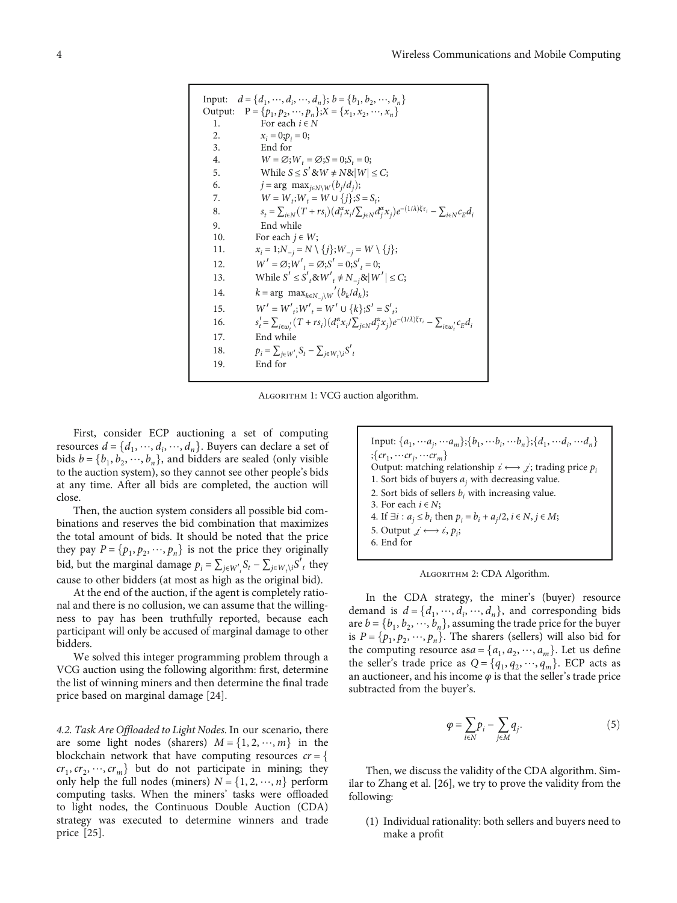Input: 
$$
d = \{d_1, ..., d_i, ..., d_n\}
$$
;  $b = \{b_1, b_2, ..., b_n\}$   
\nOutput:  $P = \{p_1, p_2, ..., p_n\}$ ;  $X = \{x_1, x_2, ..., x_n\}$   
\n1. For each  $i \in N$   
\n2.  $x_i = 0; p_i = 0$ ;  
\n3. End for  
\n4.  $W = \emptyset; W_t = \emptyset; S = 0; S_t = 0$ ;  
\n5. While  $S \le S' \otimes W \neq N \otimes |W| \leq C$ ;  
\n6.  $j = \arg \max_{j \in N} w(b_j / d_j)$ ;  
\n7.  $W = W_t; W_t = W \cup \{j\}$ ;  $S = S_t$ ;  
\n8.  $s_t = \sum_{i \in N} (T + rs_i) (d_i^{\alpha} x_i / \sum_{j \in N} d_j^{\alpha} x_j) e^{-(1/\lambda)\xi \tau_i} - \sum_{i \in N} c_E d_i$   
\n9. End while  
\n10. For each  $j \in W$ ;  
\n11.  $x_i = 1; N_{-j} = N \setminus \{j\}; W_{-j} = W \setminus \{j\}$ ;  
\n12.  $W' = \emptyset; W'_{t} = \emptyset; S' = 0; S'_{t} = 0$ ;  
\n13. While  $S' \le S'_{t} \otimes W'_{t} \neq N_{-j} \otimes |W'| \leq C$ ;  
\n14.  $k = \arg \max_{k \in N_{-j}} w'(b_k / d_k)$ ;  
\n15.  $W' = W'_{t}; W'_{t} = W' \cup \{k\}; S' = S'_{t}$ ;  
\n16.  $s'_{t} = \sum_{i \in w'} (T + rs_i) (d_i^{\alpha} x_i / \sum_{j \in N} d_j^{\alpha} x_j) e^{-(1/\lambda)\xi \tau_i} - \sum_{i \in w'} c_E d_i$   
\n17. End while  
\n18.  $p_i = \sum_{j \in W', s} S_t - \sum_{j \in W_t \setminus i} S'_{t}$   
\n19. End for

Algorithm 1: VCG auction algorithm.

First, consider ECP auctioning a set of computing resources  $d = \{d_1, \dots, d_i, \dots, d_n\}$ . Buyers can declare a set of bids  $h - \{h_1, h_2, \dots, h_n\}$  and hidders are sealed (only visible bids  $b = \{b_1, b_2, \dots, b_n\}$ , and bidders are sealed (only visible to the auction system), so they cannot see other people's bids at any time. After all bids are completed, the auction will close.

Then, the auction system considers all possible bid combinations and reserves the bid combination that maximizes the total amount of bids. It should be noted that the price they pay  $P = \{p_1, p_2, \dots, p_n\}$  is not the price they originally bid, but the marginal damage  $p_i = \sum_{j \in W'_i} S_i - \sum_{j \in W_i \setminus i} S'_i$  they cause to other bidders (at most as high as the original bid).

At the end of the auction, if the agent is completely rational and there is no collusion, we can assume that the willingness to pay has been truthfully reported, because each participant will only be accused of marginal damage to other bidders.

We solved this integer programming problem through a VCG auction using the following algorithm: first, determine the list of winning miners and then determine the final trade price based on marginal damage [\[24\]](#page-7-0).

4.2. Task Are Offloaded to Light Nodes. In our scenario, there are some light nodes (sharers)  $M = \{1, 2, \dots, m\}$  in the blockchain network that have computing resources *cr* <sup>=</sup> f  $cr_1, cr_2, \dots, cr_m$  but do not participate in mining; they only help the full nodes (miners)  $N = \{1, 2, \dots, n\}$  perform computing tasks. When the miners' tasks were offloaded to light nodes, the Continuous Double Auction (CDA) strategy was executed to determine winners and trade price [\[25\]](#page-7-0).

| Input: $\{a_1, \dots a_j, \dots a_m\}; \{b_1, \dots b_i, \dots b_n\}; \{d_1, \dots d_i, \dots d_n\}$ |
|------------------------------------------------------------------------------------------------------|
| $;\{cr_1,\cdots cr_j,\cdots cr_m\}$                                                                  |
| Output: matching relationship $i \leftrightarrow j$ ; trading price $p_i$                            |
| 1. Sort bids of buyers $a_i$ with decreasing value.                                                  |
| 2. Sort bids of sellers $b_i$ , with increasing value.                                               |
| 3. For each $i \in N$ ;                                                                              |
| 4. If $\exists i : a_j \le b_i$ then $p_i = b_i + a_j/2$ , $i \in N$ , $j \in M$ ;                   |
| 5. Output $\vec{z} \leftrightarrow \vec{i}, p_i$ ;                                                   |
| 6. End for                                                                                           |

Algorithm 2: CDA Algorithm.

In the CDA strategy, the miner's (buyer) resource demand is  $d = \{d_1, \dots, d_i, \dots, d_n\}$ , and corresponding bids<br>are  $h = \{h, h, \dots, h\}$  assuming the trade price for the buyer are  $b = \{b_1, b_2, \dots, b_n\}$ , assuming the trade price for the buyer is  $P = \{p_1, p_2, \dots, p_n\}$ . The sharers (sellers) will also bid for the computing resource as  $a = \{a_1, a_2, \dots, a_m\}$ . Let us define the seller's trade price as  $Q = \{q_1, q_2, \dots, q_m\}$ . ECP acts as an auctioneer, and his income  $\varphi$  is that the seller's trade price subtracted from the buyer's.

$$
\varphi = \sum_{i \in N} p_i - \sum_{j \in M} q_j. \tag{5}
$$

Then, we discuss the validity of the CDA algorithm. Similar to Zhang et al. [[26](#page-7-0)], we try to prove the validity from the following:

(1) Individual rationality: both sellers and buyers need to make a profit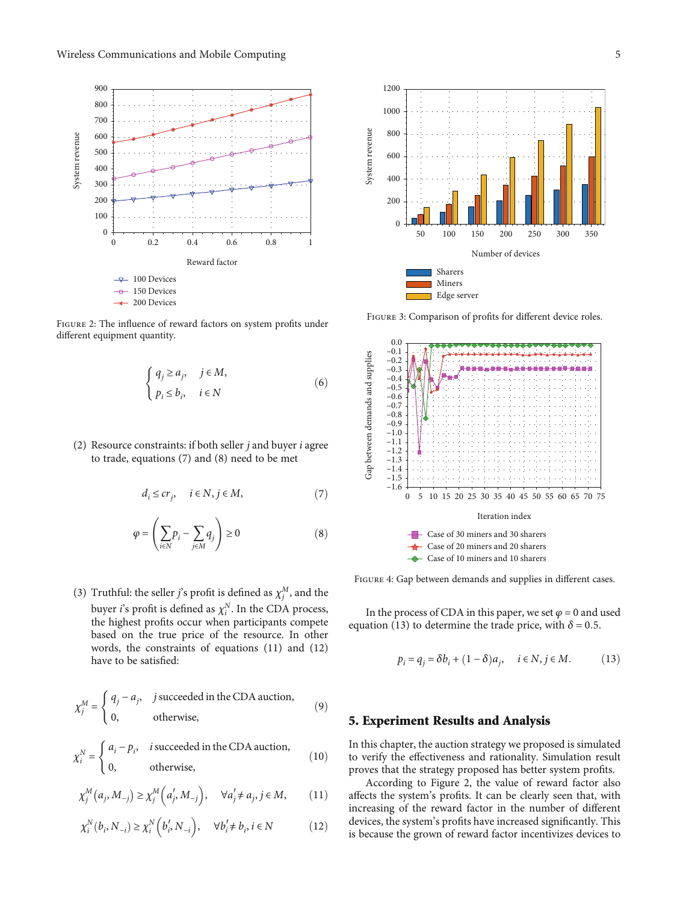<span id="page-4-0"></span>

Figure 2: The influence of reward factors on system profits under different equipment quantity.

$$
\begin{cases} q_j \ge a_j, & j \in M, \\ p_i \le b_i, & i \in N \end{cases}
$$
 (6)

(2) Resource constraints: if both seller *j* and buyer *i* agree to trade, equations (7) and (8) need to be met

$$
d_i \le cr_j, \quad i \in N, j \in M,
$$
\n(7)

$$
\varphi = \left(\sum_{i \in N} p_i - \sum_{j \in M} q_j\right) \ge 0 \tag{8}
$$

(3) Truthful: the seller *j*'s profit is defined as  $\chi_i^M$ , and the buyer *i*'s profit is defined as  $\chi_i^N$ . In the CDA process, the highest profits occur when participants compete based on the true price of the resource. In other words, the constraints of equations (11) and (12) have to be satisfied:

$$
\chi_j^M = \begin{cases} q_j - a_j, & j \text{ succeeded in the CDA auction,} \\ 0, & \text{otherwise,} \end{cases}
$$
(9)

$$
\chi_i^N = \begin{cases} a_i - p_i, & i \text{ succeeded in the CDA auction,} \\ 0, & \text{otherwise,} \end{cases}
$$
 (10)

$$
\chi_j^M(a_j, M_{-j}) \ge \chi_j^M\left(a'_j, M_{-j}\right), \quad \forall a'_j \ne a_j, j \in M,
$$
\n(11)

$$
\chi_i^N(b_i, N_{-i}) \ge \chi_i^N(b_i', N_{-i}), \quad \forall b_i' \ne b_i, i \in N
$$
 (12)



FIGURE 3: Comparison of profits for different device roles.



FIGURE 4: Gap between demands and supplies in different cases.

In the process of CDA in this paper, we set  $\varphi = 0$  and used equation (13) to determine the trade price, with  $\delta = 0.5$ .

$$
p_i = q_j = \delta b_i + (1 - \delta)a_j, \quad i \in \mathbb{N}, j \in \mathcal{M}.
$$
 (13)

# 5. Experiment Results and Analysis

In this chapter, the auction strategy we proposed is simulated to verify the effectiveness and rationality. Simulation result proves that the strategy proposed has better system profits.

According to Figure 2, the value of reward factor also affects the system's profits. It can be clearly seen that, with increasing of the reward factor in the number of different devices, the system's profits have increased significantly. This is because the grown of reward factor incentivizes devices to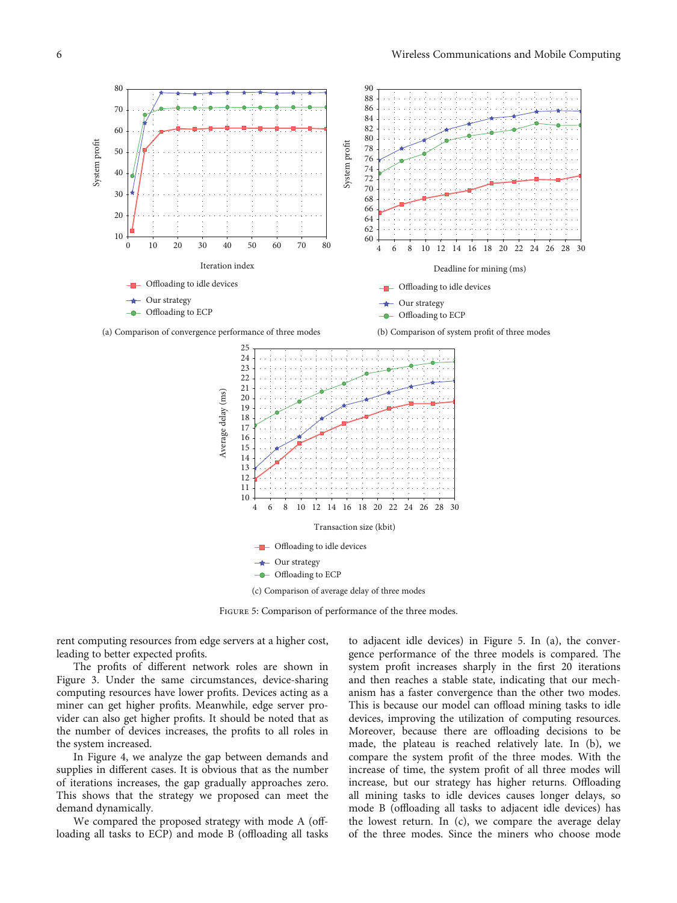

FIGURE 5: Comparison of performance of the three modes.

rent computing resources from edge servers at a higher cost, leading to better expected profits.

The profits of different network roles are shown in Figure [3.](#page-4-0) Under the same circumstances, device-sharing computing resources have lower profits. Devices acting as a miner can get higher profits. Meanwhile, edge server provider can also get higher profits. It should be noted that as the number of devices increases, the profits to all roles in the system increased.

In Figure [4](#page-4-0), we analyze the gap between demands and supplies in different cases. It is obvious that as the number of iterations increases, the gap gradually approaches zero. This shows that the strategy we proposed can meet the demand dynamically.

We compared the proposed strategy with mode A (offloading all tasks to ECP) and mode B (offloading all tasks

to adjacent idle devices) in Figure 5. In (a), the convergence performance of the three models is compared. The system profit increases sharply in the first 20 iterations and then reaches a stable state, indicating that our mechanism has a faster convergence than the other two modes. This is because our model can offload mining tasks to idle devices, improving the utilization of computing resources. Moreover, because there are offloading decisions to be made, the plateau is reached relatively late. In (b), we compare the system profit of the three modes. With the increase of time, the system profit of all three modes will increase, but our strategy has higher returns. Offloading all mining tasks to idle devices causes longer delays, so mode B (offloading all tasks to adjacent idle devices) has the lowest return. In (c), we compare the average delay of the three modes. Since the miners who choose mode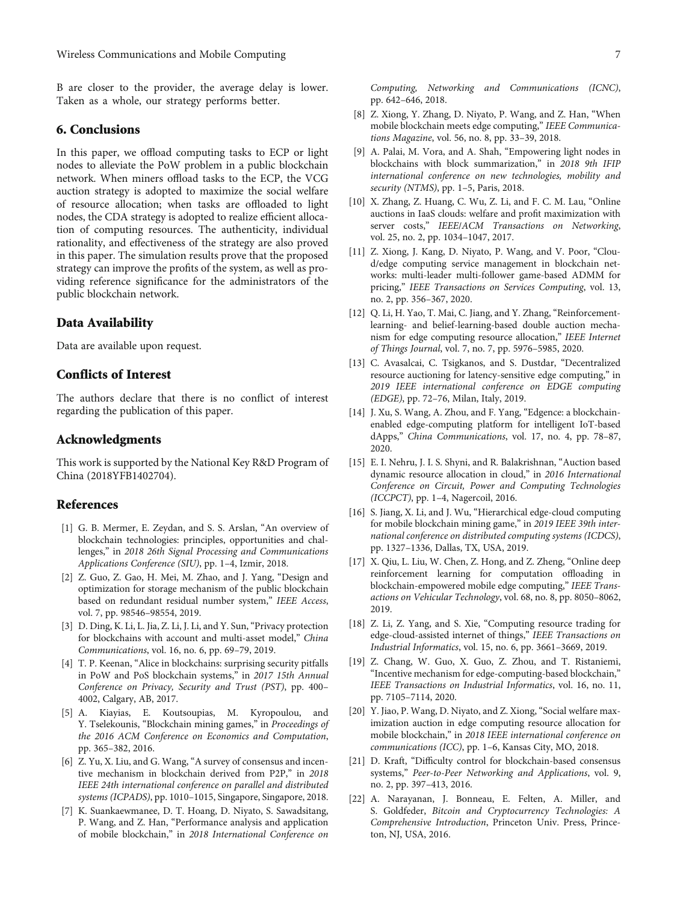<span id="page-6-0"></span>B are closer to the provider, the average delay is lower. Taken as a whole, our strategy performs better.

### 6. Conclusions

In this paper, we offload computing tasks to ECP or light nodes to alleviate the PoW problem in a public blockchain network. When miners offload tasks to the ECP, the VCG auction strategy is adopted to maximize the social welfare of resource allocation; when tasks are offloaded to light nodes, the CDA strategy is adopted to realize efficient allocation of computing resources. The authenticity, individual rationality, and effectiveness of the strategy are also proved in this paper. The simulation results prove that the proposed strategy can improve the profits of the system, as well as providing reference significance for the administrators of the public blockchain network.

#### Data Availability

Data are available upon request.

## Conflicts of Interest

The authors declare that there is no conflict of interest regarding the publication of this paper.

## Acknowledgments

This work is supported by the National Key R&D Program of China (2018YFB1402704).

### References

- [1] G. B. Mermer, E. Zeydan, and S. S. Arslan, "An overview of blockchain technologies: principles, opportunities and challenges," in 2018 26th Signal Processing and Communications Applications Conference (SIU), pp. 1–4, Izmir, 2018.
- [2] Z. Guo, Z. Gao, H. Mei, M. Zhao, and J. Yang, "Design and optimization for storage mechanism of the public blockchain based on redundant residual number system," IEEE Access, vol. 7, pp. 98546–98554, 2019.
- [3] D. Ding, K. Li, L. Jia, Z. Li, J. Li, and Y. Sun, "Privacy protection for blockchains with account and multi-asset model," China Communications, vol. 16, no. 6, pp. 69–79, 2019.
- [4] T. P. Keenan, "Alice in blockchains: surprising security pitfalls in PoW and PoS blockchain systems," in 2017 15th Annual Conference on Privacy, Security and Trust (PST), pp. 400– 4002, Calgary, AB, 2017.
- [5] A. Kiayias, E. Koutsoupias, M. Kyropoulou, and Y. Tselekounis, "Blockchain mining games," in Proceedings of the 2016 ACM Conference on Economics and Computation, pp. 365–382, 2016.
- [6] Z. Yu, X. Liu, and G. Wang, "A survey of consensus and incentive mechanism in blockchain derived from P2P," in 2018 IEEE 24th international conference on parallel and distributed systems (ICPADS), pp. 1010–1015, Singapore, Singapore, 2018.
- [7] K. Suankaewmanee, D. T. Hoang, D. Niyato, S. Sawadsitang, P. Wang, and Z. Han, "Performance analysis and application of mobile blockchain," in 2018 International Conference on

Computing, Networking and Communications (ICNC), pp. 642–646, 2018.

- [8] Z. Xiong, Y. Zhang, D. Niyato, P. Wang, and Z. Han, "When mobile blockchain meets edge computing," IEEE Communications Magazine, vol. 56, no. 8, pp. 33–39, 2018.
- [9] A. Palai, M. Vora, and A. Shah, "Empowering light nodes in blockchains with block summarization," in 2018 9th IFIP international conference on new technologies, mobility and security (NTMS), pp. 1-5, Paris, 2018.
- [10] X. Zhang, Z. Huang, C. Wu, Z. Li, and F. C. M. Lau, "Online auctions in IaaS clouds: welfare and profit maximization with server costs," IEEE/ACM Transactions on Networking, vol. 25, no. 2, pp. 1034–1047, 2017.
- [11] Z. Xiong, J. Kang, D. Niyato, P. Wang, and V. Poor, "Cloud/edge computing service management in blockchain networks: multi-leader multi-follower game-based ADMM for pricing," IEEE Transactions on Services Computing, vol. 13, no. 2, pp. 356–367, 2020.
- [12] Q. Li, H. Yao, T. Mai, C. Jiang, and Y. Zhang, "Reinforcementlearning- and belief-learning-based double auction mechanism for edge computing resource allocation," IEEE Internet of Things Journal, vol. 7, no. 7, pp. 5976–5985, 2020.
- [13] C. Avasalcai, C. Tsigkanos, and S. Dustdar, "Decentralized resource auctioning for latency-sensitive edge computing," in 2019 IEEE international conference on EDGE computing (EDGE), pp. 72–76, Milan, Italy, 2019.
- [14] J. Xu, S. Wang, A. Zhou, and F. Yang, "Edgence: a blockchainenabled edge-computing platform for intelligent IoT-based dApps," China Communications, vol. 17, no. 4, pp. 78–87, 2020.
- [15] E. I. Nehru, J. I. S. Shyni, and R. Balakrishnan, "Auction based dynamic resource allocation in cloud," in 2016 International Conference on Circuit, Power and Computing Technologies (ICCPCT), pp. 1–4, Nagercoil, 2016.
- [16] S. Jiang, X. Li, and J. Wu, "Hierarchical edge-cloud computing for mobile blockchain mining game," in 2019 IEEE 39th international conference on distributed computing systems (ICDCS), pp. 1327–1336, Dallas, TX, USA, 2019.
- [17] X. Qiu, L. Liu, W. Chen, Z. Hong, and Z. Zheng, "Online deep reinforcement learning for computation offloading in blockchain-empowered mobile edge computing," IEEE Transactions on Vehicular Technology, vol. 68, no. 8, pp. 8050–8062, 2019.
- [18] Z. Li, Z. Yang, and S. Xie, "Computing resource trading for edge-cloud-assisted internet of things," IEEE Transactions on Industrial Informatics, vol. 15, no. 6, pp. 3661–3669, 2019.
- [19] Z. Chang, W. Guo, X. Guo, Z. Zhou, and T. Ristaniemi, "Incentive mechanism for edge-computing-based blockchain," IEEE Transactions on Industrial Informatics, vol. 16, no. 11, pp. 7105–7114, 2020.
- [20] Y. Jiao, P. Wang, D. Niyato, and Z. Xiong, "Social welfare maximization auction in edge computing resource allocation for mobile blockchain," in 2018 IEEE international conference on communications (ICC), pp. 1–6, Kansas City, MO, 2018.
- [21] D. Kraft, "Difficulty control for blockchain-based consensus systems," Peer-to-Peer Networking and Applications, vol. 9, no. 2, pp. 397–413, 2016.
- [22] A. Narayanan, J. Bonneau, E. Felten, A. Miller, and S. Goldfeder, Bitcoin and Cryptocurrency Technologies: A Comprehensive Introduction, Princeton Univ. Press, Princeton, NJ, USA, 2016.